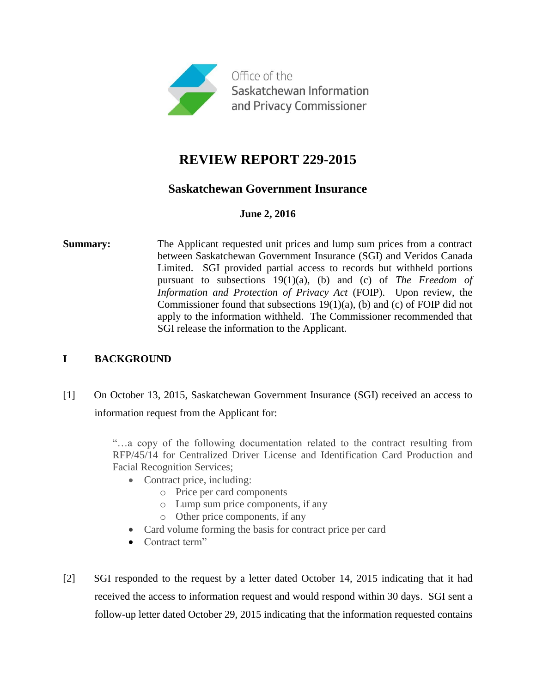

# **REVIEW REPORT 229-2015**

## **Saskatchewan Government Insurance**

#### **June 2, 2016**

**Summary:** The Applicant requested unit prices and lump sum prices from a contract between Saskatchewan Government Insurance (SGI) and Veridos Canada Limited. SGI provided partial access to records but withheld portions pursuant to subsections 19(1)(a), (b) and (c) of *The Freedom of Information and Protection of Privacy Act* (FOIP). Upon review, the Commissioner found that subsections 19(1)(a), (b) and (c) of FOIP did not apply to the information withheld. The Commissioner recommended that SGI release the information to the Applicant.

### **I BACKGROUND**

[1] On October 13, 2015, Saskatchewan Government Insurance (SGI) received an access to information request from the Applicant for:

> "…a copy of the following documentation related to the contract resulting from RFP/45/14 for Centralized Driver License and Identification Card Production and Facial Recognition Services;

- Contract price, including:
	- o Price per card components
	- o Lump sum price components, if any
	- o Other price components, if any
- Card volume forming the basis for contract price per card
- Contract term"
- [2] SGI responded to the request by a letter dated October 14, 2015 indicating that it had received the access to information request and would respond within 30 days. SGI sent a follow-up letter dated October 29, 2015 indicating that the information requested contains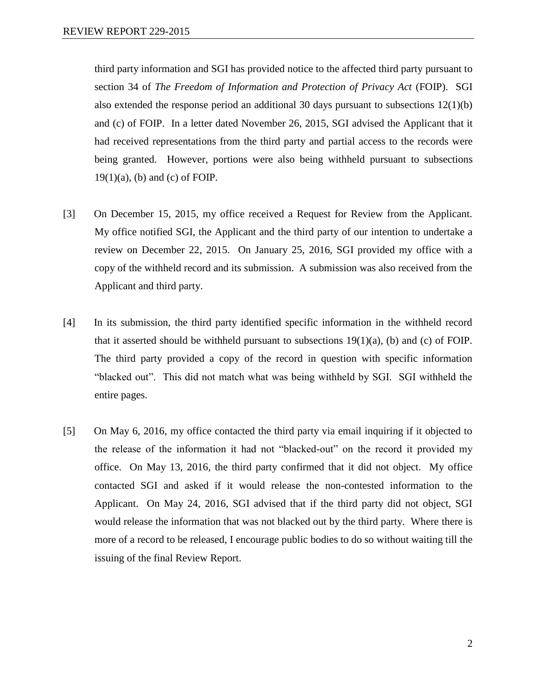third party information and SGI has provided notice to the affected third party pursuant to section 34 of *The Freedom of Information and Protection of Privacy Act* (FOIP). SGI also extended the response period an additional 30 days pursuant to subsections 12(1)(b) and (c) of FOIP. In a letter dated November 26, 2015, SGI advised the Applicant that it had received representations from the third party and partial access to the records were being granted. However, portions were also being withheld pursuant to subsections  $19(1)(a)$ , (b) and (c) of FOIP.

- [3] On December 15, 2015, my office received a Request for Review from the Applicant. My office notified SGI, the Applicant and the third party of our intention to undertake a review on December 22, 2015. On January 25, 2016, SGI provided my office with a copy of the withheld record and its submission. A submission was also received from the Applicant and third party.
- [4] In its submission, the third party identified specific information in the withheld record that it asserted should be withheld pursuant to subsections  $19(1)(a)$ , (b) and (c) of FOIP. The third party provided a copy of the record in question with specific information "blacked out". This did not match what was being withheld by SGI. SGI withheld the entire pages.
- [5] On May 6, 2016, my office contacted the third party via email inquiring if it objected to the release of the information it had not "blacked-out" on the record it provided my office. On May 13, 2016, the third party confirmed that it did not object. My office contacted SGI and asked if it would release the non-contested information to the Applicant. On May 24, 2016, SGI advised that if the third party did not object, SGI would release the information that was not blacked out by the third party. Where there is more of a record to be released, I encourage public bodies to do so without waiting till the issuing of the final Review Report.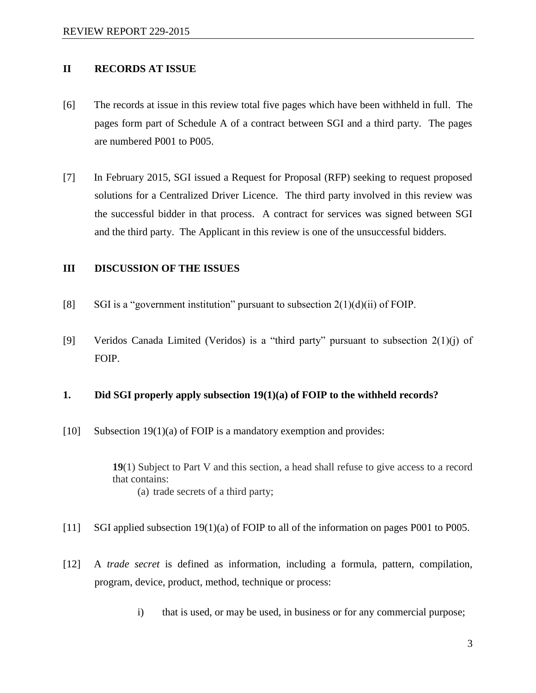#### **II RECORDS AT ISSUE**

- [6] The records at issue in this review total five pages which have been withheld in full. The pages form part of Schedule A of a contract between SGI and a third party. The pages are numbered P001 to P005.
- [7] In February 2015, SGI issued a Request for Proposal (RFP) seeking to request proposed solutions for a Centralized Driver Licence. The third party involved in this review was the successful bidder in that process. A contract for services was signed between SGI and the third party. The Applicant in this review is one of the unsuccessful bidders.

#### **III DISCUSSION OF THE ISSUES**

- [8] SGI is a "government institution" pursuant to subsection  $2(1)(d)(ii)$  of FOIP.
- [9] Veridos Canada Limited (Veridos) is a "third party" pursuant to subsection 2(1)(j) of FOIP.

#### **1. Did SGI properly apply subsection 19(1)(a) of FOIP to the withheld records?**

[10] Subsection 19(1)(a) of FOIP is a mandatory exemption and provides:

**19**(1) Subject to Part V and this section, a head shall refuse to give access to a record that contains: (a) trade secrets of a third party;

- [11] SGI applied subsection 19(1)(a) of FOIP to all of the information on pages P001 to P005.
- [12] A *trade secret* is defined as information, including a formula, pattern, compilation, program, device, product, method, technique or process:
	- i) that is used, or may be used, in business or for any commercial purpose;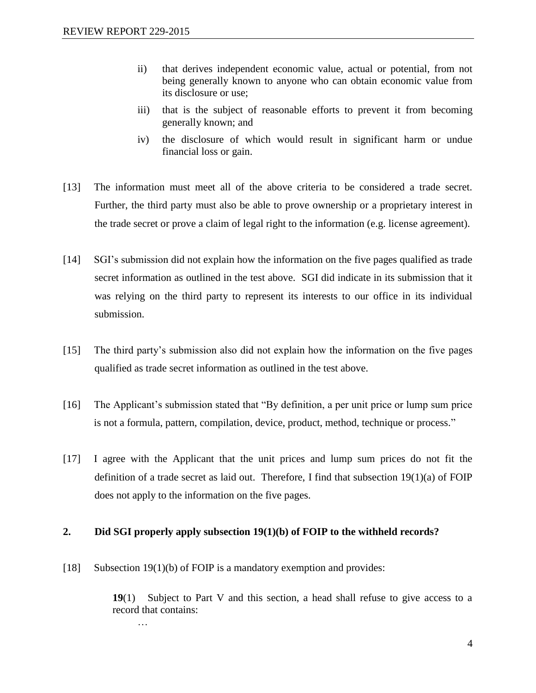- ii) that derives independent economic value, actual or potential, from not being generally known to anyone who can obtain economic value from its disclosure or use;
- iii) that is the subject of reasonable efforts to prevent it from becoming generally known; and
- iv) the disclosure of which would result in significant harm or undue financial loss or gain.
- [13] The information must meet all of the above criteria to be considered a trade secret. Further, the third party must also be able to prove ownership or a proprietary interest in the trade secret or prove a claim of legal right to the information (e.g. license agreement).
- [14] SGI's submission did not explain how the information on the five pages qualified as trade secret information as outlined in the test above. SGI did indicate in its submission that it was relying on the third party to represent its interests to our office in its individual submission.
- [15] The third party's submission also did not explain how the information on the five pages qualified as trade secret information as outlined in the test above.
- [16] The Applicant's submission stated that "By definition, a per unit price or lump sum price is not a formula, pattern, compilation, device, product, method, technique or process."
- [17] I agree with the Applicant that the unit prices and lump sum prices do not fit the definition of a trade secret as laid out. Therefore, I find that subsection 19(1)(a) of FOIP does not apply to the information on the five pages.

#### **2. Did SGI properly apply subsection 19(1)(b) of FOIP to the withheld records?**

[18] Subsection 19(1)(b) of FOIP is a mandatory exemption and provides:

**19**(1) Subject to Part V and this section, a head shall refuse to give access to a record that contains:

…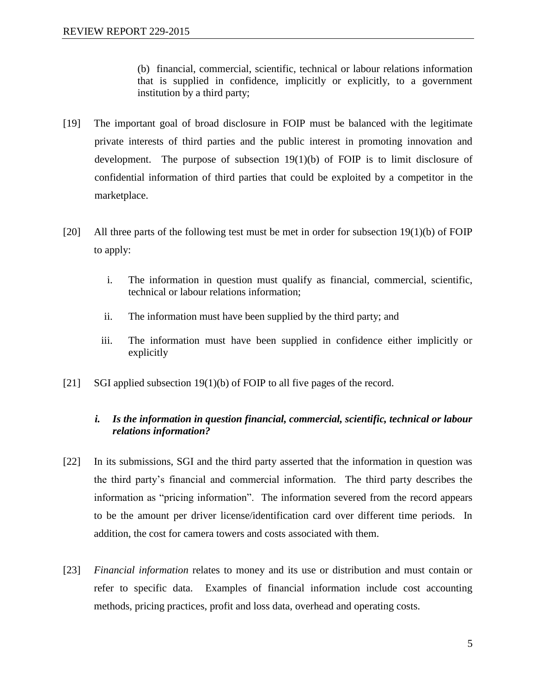(b) financial, commercial, scientific, technical or labour relations information that is supplied in confidence, implicitly or explicitly, to a government institution by a third party;

- [19] The important goal of broad disclosure in FOIP must be balanced with the legitimate private interests of third parties and the public interest in promoting innovation and development. The purpose of subsection  $19(1)(b)$  of FOIP is to limit disclosure of confidential information of third parties that could be exploited by a competitor in the marketplace.
- [20] All three parts of the following test must be met in order for subsection  $19(1)(b)$  of FOIP to apply:
	- i. The information in question must qualify as financial, commercial, scientific, technical or labour relations information;
	- ii. The information must have been supplied by the third party; and
	- iii. The information must have been supplied in confidence either implicitly or explicitly
- [21] SGI applied subsection 19(1)(b) of FOIP to all five pages of the record.

### *i. Is the information in question financial, commercial, scientific, technical or labour relations information?*

- [22] In its submissions, SGI and the third party asserted that the information in question was the third party's financial and commercial information. The third party describes the information as "pricing information". The information severed from the record appears to be the amount per driver license/identification card over different time periods. In addition, the cost for camera towers and costs associated with them.
- [23] *Financial information* relates to money and its use or distribution and must contain or refer to specific data. Examples of financial information include cost accounting methods, pricing practices, profit and loss data, overhead and operating costs.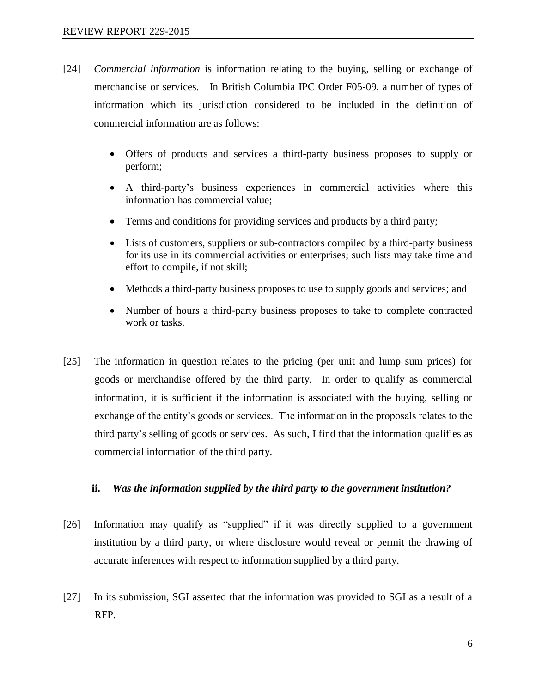- [24] *Commercial information* is information relating to the buying, selling or exchange of merchandise or services. In British Columbia IPC Order F05-09, a number of types of information which its jurisdiction considered to be included in the definition of commercial information are as follows:
	- Offers of products and services a third-party business proposes to supply or perform;
	- A third-party's business experiences in commercial activities where this information has commercial value;
	- Terms and conditions for providing services and products by a third party;
	- Lists of customers, suppliers or sub-contractors compiled by a third-party business for its use in its commercial activities or enterprises; such lists may take time and effort to compile, if not skill;
	- Methods a third-party business proposes to use to supply goods and services; and
	- Number of hours a third-party business proposes to take to complete contracted work or tasks.
- [25] The information in question relates to the pricing (per unit and lump sum prices) for goods or merchandise offered by the third party. In order to qualify as commercial information, it is sufficient if the information is associated with the buying, selling or exchange of the entity's goods or services. The information in the proposals relates to the third party's selling of goods or services. As such, I find that the information qualifies as commercial information of the third party.

#### **ii.** *Was the information supplied by the third party to the government institution?*

- [26] Information may qualify as "supplied" if it was directly supplied to a government institution by a third party, or where disclosure would reveal or permit the drawing of accurate inferences with respect to information supplied by a third party.
- [27] In its submission, SGI asserted that the information was provided to SGI as a result of a RFP.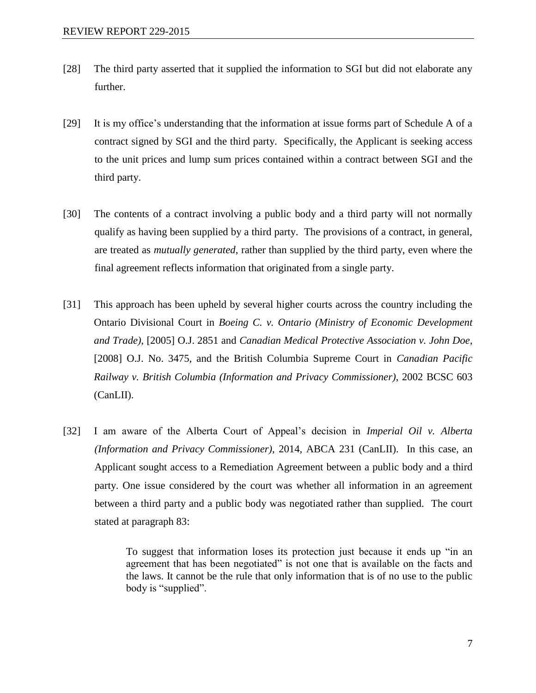- [28] The third party asserted that it supplied the information to SGI but did not elaborate any further.
- [29] It is my office's understanding that the information at issue forms part of Schedule A of a contract signed by SGI and the third party. Specifically, the Applicant is seeking access to the unit prices and lump sum prices contained within a contract between SGI and the third party.
- [30] The contents of a contract involving a public body and a third party will not normally qualify as having been supplied by a third party. The provisions of a contract, in general, are treated as *mutually generated*, rather than supplied by the third party, even where the final agreement reflects information that originated from a single party.
- [31] This approach has been upheld by several higher courts across the country including the Ontario Divisional Court in *Boeing C. v. Ontario (Ministry of Economic Development and Trade)*, [2005] O.J. 2851 and *Canadian Medical Protective Association v. John Doe*, [2008] O.J. No. 3475, and the British Columbia Supreme Court in *Canadian Pacific Railway v. British Columbia (Information and Privacy Commissioner)*, 2002 BCSC 603 (CanLII).
- [32] I am aware of the Alberta Court of Appeal's decision in *Imperial Oil v. Alberta (Information and Privacy Commissioner)*, 2014, ABCA 231 (CanLII). In this case, an Applicant sought access to a Remediation Agreement between a public body and a third party. One issue considered by the court was whether all information in an agreement between a third party and a public body was negotiated rather than supplied. The court stated at paragraph 83:

To suggest that information loses its protection just because it ends up "in an agreement that has been negotiated" is not one that is available on the facts and the laws. It cannot be the rule that only information that is of no use to the public body is "supplied".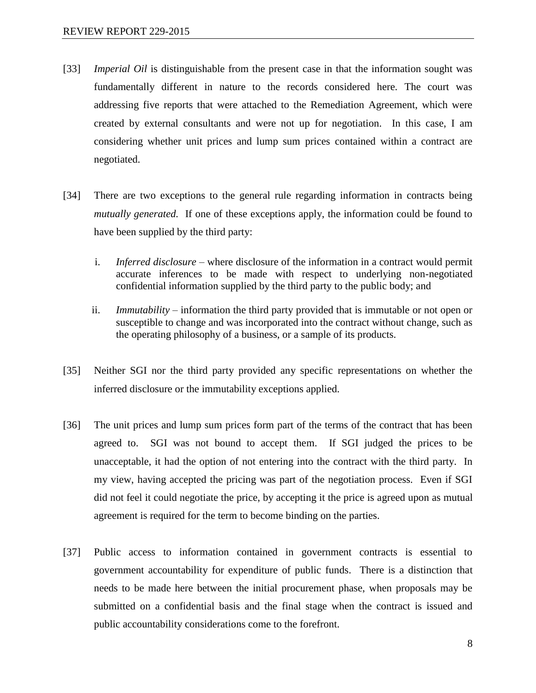- [33] *Imperial Oil* is distinguishable from the present case in that the information sought was fundamentally different in nature to the records considered here. The court was addressing five reports that were attached to the Remediation Agreement, which were created by external consultants and were not up for negotiation. In this case, I am considering whether unit prices and lump sum prices contained within a contract are negotiated.
- [34] There are two exceptions to the general rule regarding information in contracts being *mutually generated.* If one of these exceptions apply, the information could be found to have been supplied by the third party:
	- i. *Inferred disclosure*  where disclosure of the information in a contract would permit accurate inferences to be made with respect to underlying non-negotiated confidential information supplied by the third party to the public body; and
	- ii. *Immutability*  information the third party provided that is immutable or not open or susceptible to change and was incorporated into the contract without change, such as the operating philosophy of a business, or a sample of its products.
- [35] Neither SGI nor the third party provided any specific representations on whether the inferred disclosure or the immutability exceptions applied.
- [36] The unit prices and lump sum prices form part of the terms of the contract that has been agreed to. SGI was not bound to accept them. If SGI judged the prices to be unacceptable, it had the option of not entering into the contract with the third party. In my view, having accepted the pricing was part of the negotiation process. Even if SGI did not feel it could negotiate the price, by accepting it the price is agreed upon as mutual agreement is required for the term to become binding on the parties.
- [37] Public access to information contained in government contracts is essential to government accountability for expenditure of public funds. There is a distinction that needs to be made here between the initial procurement phase, when proposals may be submitted on a confidential basis and the final stage when the contract is issued and public accountability considerations come to the forefront.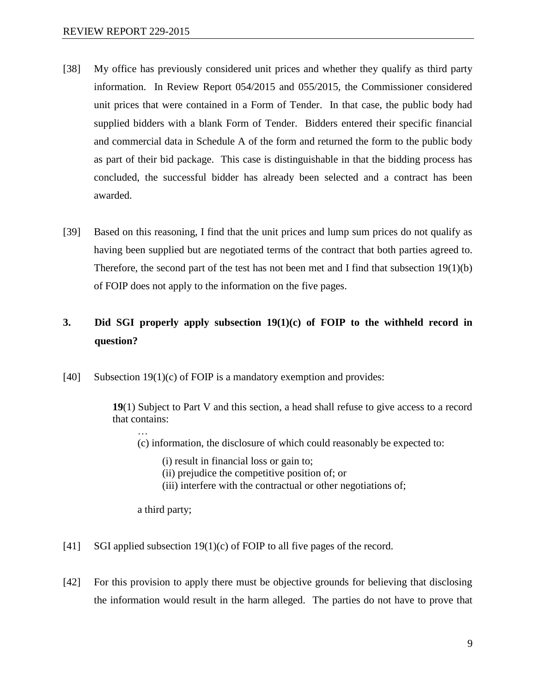- [38] My office has previously considered unit prices and whether they qualify as third party information. In Review Report 054/2015 and 055/2015, the Commissioner considered unit prices that were contained in a Form of Tender. In that case, the public body had supplied bidders with a blank Form of Tender. Bidders entered their specific financial and commercial data in Schedule A of the form and returned the form to the public body as part of their bid package. This case is distinguishable in that the bidding process has concluded, the successful bidder has already been selected and a contract has been awarded.
- [39] Based on this reasoning, I find that the unit prices and lump sum prices do not qualify as having been supplied but are negotiated terms of the contract that both parties agreed to. Therefore, the second part of the test has not been met and I find that subsection 19(1)(b) of FOIP does not apply to the information on the five pages.

## **3. Did SGI properly apply subsection 19(1)(c) of FOIP to the withheld record in question?**

[40] Subsection 19(1)(c) of FOIP is a mandatory exemption and provides:

**19**(1) Subject to Part V and this section, a head shall refuse to give access to a record that contains:

(c) information, the disclosure of which could reasonably be expected to:

(i) result in financial loss or gain to;

- (ii) prejudice the competitive position of; or
- (iii) interfere with the contractual or other negotiations of;

a third party;

…

- [41] SGI applied subsection 19(1)(c) of FOIP to all five pages of the record.
- [42] For this provision to apply there must be objective grounds for believing that disclosing the information would result in the harm alleged. The parties do not have to prove that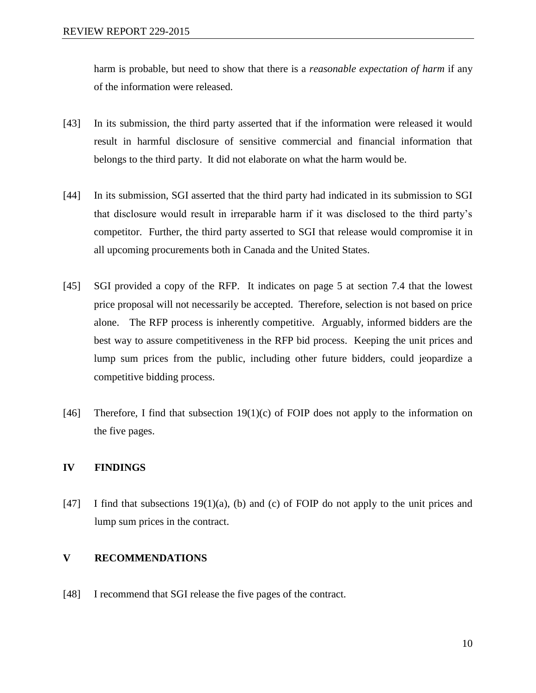harm is probable, but need to show that there is a *reasonable expectation of harm* if any of the information were released.

- [43] In its submission, the third party asserted that if the information were released it would result in harmful disclosure of sensitive commercial and financial information that belongs to the third party. It did not elaborate on what the harm would be.
- [44] In its submission, SGI asserted that the third party had indicated in its submission to SGI that disclosure would result in irreparable harm if it was disclosed to the third party's competitor. Further, the third party asserted to SGI that release would compromise it in all upcoming procurements both in Canada and the United States.
- [45] SGI provided a copy of the RFP. It indicates on page 5 at section 7.4 that the lowest price proposal will not necessarily be accepted. Therefore, selection is not based on price alone. The RFP process is inherently competitive. Arguably, informed bidders are the best way to assure competitiveness in the RFP bid process. Keeping the unit prices and lump sum prices from the public, including other future bidders, could jeopardize a competitive bidding process.
- [46] Therefore, I find that subsection  $19(1)(c)$  of FOIP does not apply to the information on the five pages.

#### **IV FINDINGS**

[47] I find that subsections  $19(1)(a)$ , (b) and (c) of FOIP do not apply to the unit prices and lump sum prices in the contract.

#### **V RECOMMENDATIONS**

[48] I recommend that SGI release the five pages of the contract.